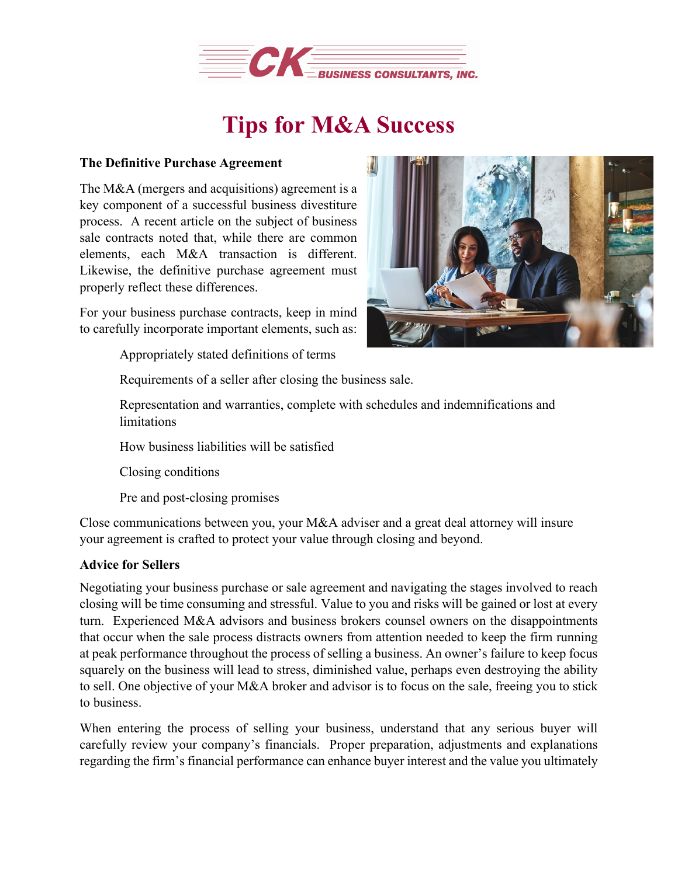

## **Tips for M&A Success**

## **The Definitive Purchase Agreement**

The M&A (mergers and acquisitions) agreement is a key component of a successful business divestiture process. A recent article on the subject of business sale contracts noted that, while there are common elements, each M&A transaction is different. Likewise, the definitive purchase agreement must properly reflect these differences.

For your business purchase contracts, keep in mind to carefully incorporate important elements, such as:

Appropriately stated definitions of terms



Requirements of a seller after closing the business sale.

Representation and warranties, complete with schedules and indemnifications and limitations

How business liabilities will be satisfied

Closing conditions

Pre and post-closing promises

Close communications between you, your M&A adviser and a great deal attorney will insure your agreement is crafted to protect your value through closing and beyond.

## **Advice for Sellers**

Negotiating your business purchase or sale agreement and navigating the stages involved to reach closing will be time consuming and stressful. Value to you and risks will be gained or lost at every turn. Experienced M&A advisors and business brokers counsel owners on the disappointments that occur when the sale process distracts owners from attention needed to keep the firm running at peak performance throughout the process of selling a business. An owner's failure to keep focus squarely on the business will lead to stress, diminished value, perhaps even destroying the ability to sell. One objective of your M&A broker and advisor is to focus on the sale, freeing you to stick to business.

When entering the process of selling your business, understand that any serious buyer will carefully review your company's financials. Proper preparation, adjustments and explanations regarding the firm's financial performance can enhance buyer interest and the value you ultimately